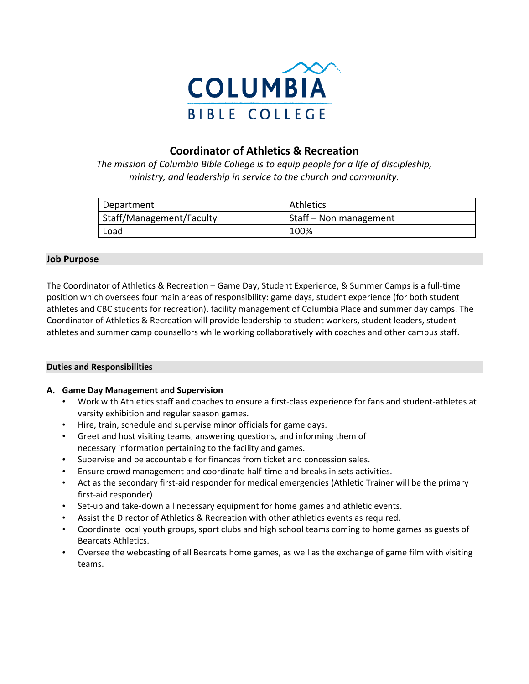

# **Coordinator of Athletics & Recreation**

*The mission of Columbia Bible College is to equip people for a life of discipleship, ministry, and leadership in service to the church and community.*

| Department                      | Athletics              |
|---------------------------------|------------------------|
| <b>Staff/Management/Faculty</b> | Staff – Non management |
| Load                            | 100%                   |

## **Job Purpose**

The Coordinator of Athletics & Recreation – Game Day, Student Experience, & Summer Camps is a full-time position which oversees four main areas of responsibility: game days, student experience (for both student athletes and CBC students for recreation), facility management of Columbia Place and summer day camps. The Coordinator of Athletics & Recreation will provide leadership to student workers, student leaders, student athletes and summer camp counsellors while working collaboratively with coaches and other campus staff.

## **Duties and Responsibilities**

## **A. Game Day Management and Supervision**

- Work with Athletics staff and coaches to ensure a first-class experience for fans and student-athletes at varsity exhibition and regular season games.
- Hire, train, schedule and supervise minor officials for game days.
- Greet and host visiting teams, answering questions, and informing them of necessary information pertaining to the facility and games.
- Supervise and be accountable for finances from ticket and concession sales.
- Ensure crowd management and coordinate half-time and breaks in sets activities.
- Act as the secondary first-aid responder for medical emergencies (Athletic Trainer will be the primary first-aid responder)
- Set-up and take-down all necessary equipment for home games and athletic events.
- Assist the Director of Athletics & Recreation with other athletics events as required.
- Coordinate local youth groups, sport clubs and high school teams coming to home games as guests of Bearcats Athletics.
- Oversee the webcasting of all Bearcats home games, as well as the exchange of game film with visiting teams.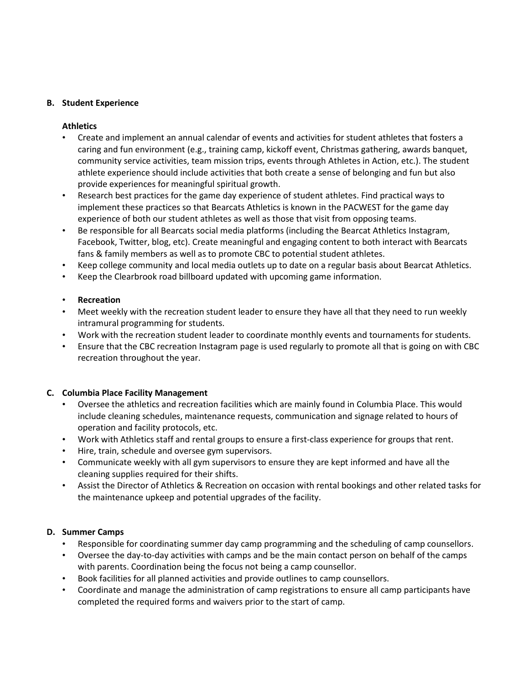## **B. Student Experience**

## **Athletics**

- Create and implement an annual calendar of events and activities for student athletes that fosters a caring and fun environment (e.g., training camp, kickoff event, Christmas gathering, awards banquet, community service activities, team mission trips, events through Athletes in Action, etc.). The student athlete experience should include activities that both create a sense of belonging and fun but also provide experiences for meaningful spiritual growth.
- Research best practices for the game day experience of student athletes. Find practical ways to implement these practices so that Bearcats Athletics is known in the PACWEST for the game day experience of both our student athletes as well as those that visit from opposing teams.
- Be responsible for all Bearcats social media platforms (including the Bearcat Athletics Instagram, Facebook, Twitter, blog, etc). Create meaningful and engaging content to both interact with Bearcats fans & family members as well as to promote CBC to potential student athletes.
- Keep college community and local media outlets up to date on a regular basis about Bearcat Athletics.
- Keep the Clearbrook road billboard updated with upcoming game information.

## • **Recreation**

- Meet weekly with the recreation student leader to ensure they have all that they need to run weekly intramural programming for students.
- Work with the recreation student leader to coordinate monthly events and tournaments for students.
- Ensure that the CBC recreation Instagram page is used regularly to promote all that is going on with CBC recreation throughout the year.

## **C. Columbia Place Facility Management**

- Oversee the athletics and recreation facilities which are mainly found in Columbia Place. This would include cleaning schedules, maintenance requests, communication and signage related to hours of operation and facility protocols, etc.
- Work with Athletics staff and rental groups to ensure a first-class experience for groups that rent.
- Hire, train, schedule and oversee gym supervisors.
- Communicate weekly with all gym supervisors to ensure they are kept informed and have all the cleaning supplies required for their shifts.
- Assist the Director of Athletics & Recreation on occasion with rental bookings and other related tasks for the maintenance upkeep and potential upgrades of the facility.

## **D. Summer Camps**

- Responsible for coordinating summer day camp programming and the scheduling of camp counsellors.
- Oversee the day-to-day activities with camps and be the main contact person on behalf of the camps with parents. Coordination being the focus not being a camp counsellor.
- Book facilities for all planned activities and provide outlines to camp counsellors.
- Coordinate and manage the administration of camp registrations to ensure all camp participants have completed the required forms and waivers prior to the start of camp.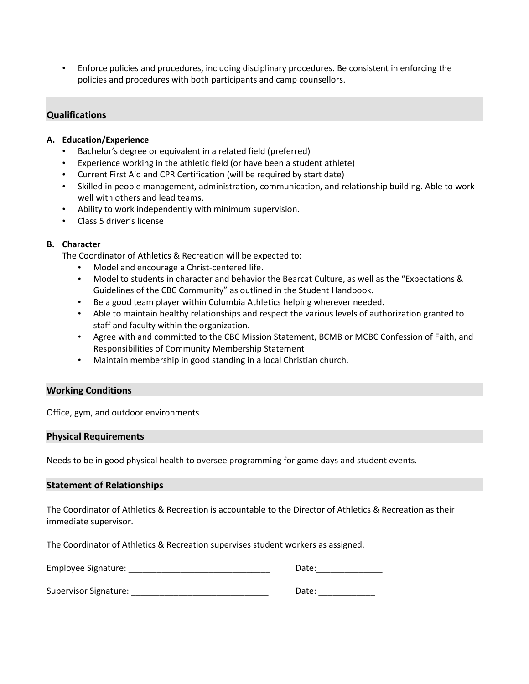• Enforce policies and procedures, including disciplinary procedures. Be consistent in enforcing the policies and procedures with both participants and camp counsellors.

## **Qualifications**

#### **A. Education/Experience**

- Bachelor's degree or equivalent in a related field (preferred)
- Experience working in the athletic field (or have been a student athlete)
- Current First Aid and CPR Certification (will be required by start date)
- Skilled in people management, administration, communication, and relationship building. Able to work well with others and lead teams.
- Ability to work independently with minimum supervision.
- Class 5 driver's license

#### **B. Character**

The Coordinator of Athletics & Recreation will be expected to:

- Model and encourage a Christ-centered life.
- Model to students in character and behavior the Bearcat Culture, as well as the "Expectations & Guidelines of the CBC Community" as outlined in the Student Handbook.
- Be a good team player within Columbia Athletics helping wherever needed.
- Able to maintain healthy relationships and respect the various levels of authorization granted to staff and faculty within the organization.
- Agree with and committed to the CBC Mission Statement, BCMB or MCBC Confession of Faith, and Responsibilities of Community Membership Statement
- Maintain membership in good standing in a local Christian church.

#### **Working Conditions**

Office, gym, and outdoor environments

#### **Physical Requirements**

Needs to be in good physical health to oversee programming for game days and student events.

#### **Statement of Relationships**

The Coordinator of Athletics & Recreation is accountable to the Director of Athletics & Recreation as their immediate supervisor.

The Coordinator of Athletics & Recreation supervises student workers as assigned.

| Employee Signature:<br>Date: |  |
|------------------------------|--|
|------------------------------|--|

Supervisor Signature: etc. and the state of the state of the state of the state of the state of the state of t